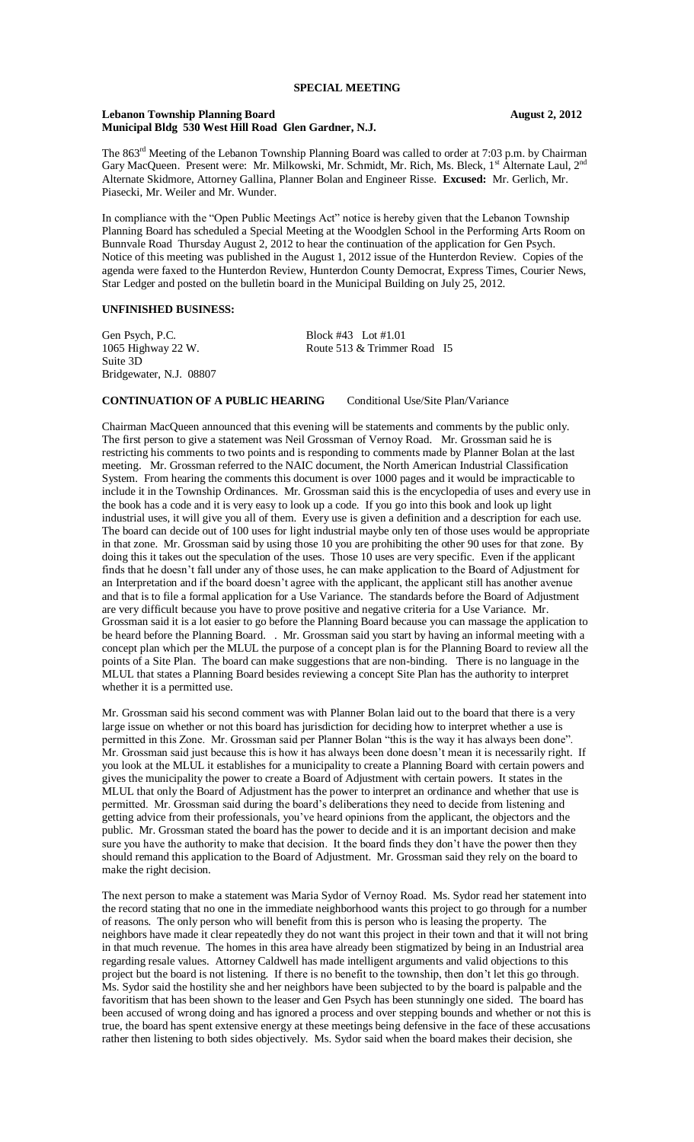#### Lebanon Township Planning Board<br> **August 2, 2012 Municipal Bldg 530 West Hill Road Glen Gardner, N.J.**

The 863<sup>rd</sup> Meeting of the Lebanon Township Planning Board was called to order at 7:03 p.m. by Chairman Gary MacQueen. Present were: Mr. Milkowski, Mr. Schmidt, Mr. Rich, Ms. Bleck, 1st Alternate Laul, 2<sup>nd</sup> Alternate Skidmore, Attorney Gallina, Planner Bolan and Engineer Risse. **Excused:** Mr. Gerlich, Mr. Piasecki, Mr. Weiler and Mr. Wunder.

In compliance with the "Open Public Meetings Act" notice is hereby given that the Lebanon Township Planning Board has scheduled a Special Meeting at the Woodglen School in the Performing Arts Room on Bunnvale Road Thursday August 2, 2012 to hear the continuation of the application for Gen Psych. Notice of this meeting was published in the August 1, 2012 issue of the Hunterdon Review. Copies of the agenda were faxed to the Hunterdon Review, Hunterdon County Democrat, Express Times, Courier News, Star Ledger and posted on the bulletin board in the Municipal Building on July 25, 2012.

## **UNFINISHED BUSINESS:**

Gen Psych, P.C.<br>1065 Highway 22 W. Block #43 Lot #1.01<br>Route 513 & Trimmer Suite 3D Bridgewater, N.J. 08807

Route 513 & Trimmer Road I5

### **CONTINUATION OF A PUBLIC HEARING** Conditional Use/Site Plan/Variance

Chairman MacQueen announced that this evening will be statements and comments by the public only. The first person to give a statement was Neil Grossman of Vernoy Road. Mr. Grossman said he is restricting his comments to two points and is responding to comments made by Planner Bolan at the last meeting. Mr. Grossman referred to the NAIC document, the North American Industrial Classification System. From hearing the comments this document is over 1000 pages and it would be impracticable to include it in the Township Ordinances. Mr. Grossman said this is the encyclopedia of uses and every use in the book has a code and it is very easy to look up a code. If you go into this book and look up light industrial uses, it will give you all of them. Every use is given a definition and a description for each use. The board can decide out of 100 uses for light industrial maybe only ten of those uses would be appropriate in that zone. Mr. Grossman said by using those 10 you are prohibiting the other 90 uses for that zone. By doing this it takes out the speculation of the uses. Those 10 uses are very specific. Even if the applicant finds that he doesn't fall under any of those uses, he can make application to the Board of Adjustment for an Interpretation and if the board doesn't agree with the applicant, the applicant still has another avenue and that is to file a formal application for a Use Variance. The standards before the Board of Adjustment are very difficult because you have to prove positive and negative criteria for a Use Variance. Mr. Grossman said it is a lot easier to go before the Planning Board because you can massage the application to be heard before the Planning Board. . Mr. Grossman said you start by having an informal meeting with a concept plan which per the MLUL the purpose of a concept plan is for the Planning Board to review all the points of a Site Plan. The board can make suggestions that are non-binding. There is no language in the MLUL that states a Planning Board besides reviewing a concept Site Plan has the authority to interpret whether it is a permitted use.

Mr. Grossman said his second comment was with Planner Bolan laid out to the board that there is a very large issue on whether or not this board has jurisdiction for deciding how to interpret whether a use is permitted in this Zone. Mr. Grossman said per Planner Bolan "this is the way it has always been done" Mr. Grossman said just because this is how it has always been done doesn't mean it is necessarily right. If you look at the MLUL it establishes for a municipality to create a Planning Board with certain powers and gives the municipality the power to create a Board of Adjustment with certain powers. It states in the MLUL that only the Board of Adjustment has the power to interpret an ordinance and whether that use is permitted. Mr. Grossman said during the board's deliberations they need to decide from listening and getting advice from their professionals, you've heard opinions from the applicant, the objectors and the public. Mr. Grossman stated the board has the power to decide and it is an important decision and make sure you have the authority to make that decision. It the board finds they don't have the power then they should remand this application to the Board of Adjustment. Mr. Grossman said they rely on the board to make the right decision.

The next person to make a statement was Maria Sydor of Vernoy Road. Ms. Sydor read her statement into the record stating that no one in the immediate neighborhood wants this project to go through for a number of reasons. The only person who will benefit from this is person who is leasing the property. The neighbors have made it clear repeatedly they do not want this project in their town and that it will not bring in that much revenue. The homes in this area have already been stigmatized by being in an Industrial area regarding resale values. Attorney Caldwell has made intelligent arguments and valid objections to this project but the board is not listening. If there is no benefit to the township, then don't let this go through. Ms. Sydor said the hostility she and her neighbors have been subjected to by the board is palpable and the favoritism that has been shown to the leaser and Gen Psych has been stunningly one sided. The board has been accused of wrong doing and has ignored a process and over stepping bounds and whether or not this is true, the board has spent extensive energy at these meetings being defensive in the face of these accusations rather then listening to both sides objectively. Ms. Sydor said when the board makes their decision, she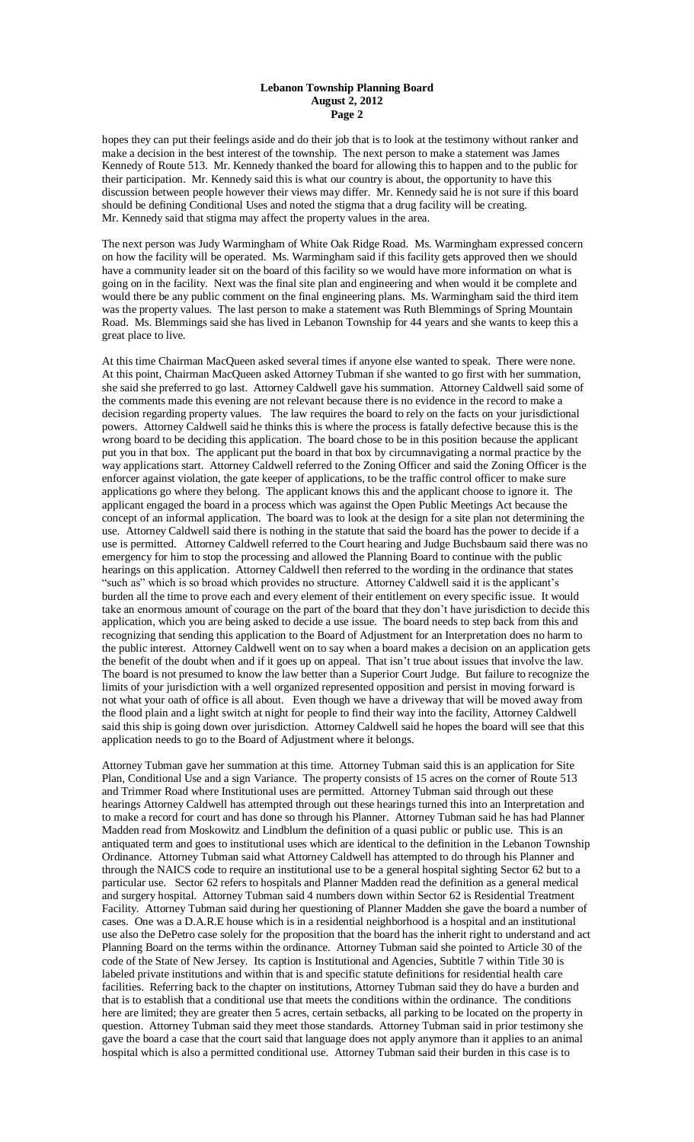#### **Lebanon Township Planning Board August 2, 2012 Page 2**

hopes they can put their feelings aside and do their job that is to look at the testimony without ranker and make a decision in the best interest of the township. The next person to make a statement was James Kennedy of Route 513. Mr. Kennedy thanked the board for allowing this to happen and to the public for their participation. Mr. Kennedy said this is what our country is about, the opportunity to have this discussion between people however their views may differ. Mr. Kennedy said he is not sure if this board should be defining Conditional Uses and noted the stigma that a drug facility will be creating. Mr. Kennedy said that stigma may affect the property values in the area.

The next person was Judy Warmingham of White Oak Ridge Road. Ms. Warmingham expressed concern on how the facility will be operated. Ms. Warmingham said if this facility gets approved then we should have a community leader sit on the board of this facility so we would have more information on what is going on in the facility. Next was the final site plan and engineering and when would it be complete and would there be any public comment on the final engineering plans. Ms. Warmingham said the third item was the property values. The last person to make a statement was Ruth Blemmings of Spring Mountain Road. Ms. Blemmings said she has lived in Lebanon Township for 44 years and she wants to keep this a great place to live.

At this time Chairman MacQueen asked several times if anyone else wanted to speak. There were none. At this point, Chairman MacQueen asked Attorney Tubman if she wanted to go first with her summation, she said she preferred to go last. Attorney Caldwell gave his summation. Attorney Caldwell said some of the comments made this evening are not relevant because there is no evidence in the record to make a decision regarding property values. The law requires the board to rely on the facts on your jurisdictional powers. Attorney Caldwell said he thinks this is where the process is fatally defective because this is the wrong board to be deciding this application. The board chose to be in this position because the applicant put you in that box. The applicant put the board in that box by circumnavigating a normal practice by the way applications start. Attorney Caldwell referred to the Zoning Officer and said the Zoning Officer is the enforcer against violation, the gate keeper of applications, to be the traffic control officer to make sure applications go where they belong. The applicant knows this and the applicant choose to ignore it. The applicant engaged the board in a process which was against the Open Public Meetings Act because the concept of an informal application. The board was to look at the design for a site plan not determining the use. Attorney Caldwell said there is nothing in the statute that said the board has the power to decide if a use is permitted. Attorney Caldwell referred to the Court hearing and Judge Buchsbaum said there was no emergency for him to stop the processing and allowed the Planning Board to continue with the public hearings on this application. Attorney Caldwell then referred to the wording in the ordinance that states "such as" which is so broad which provides no structure. Attorney Caldwell said it is the applicant's burden all the time to prove each and every element of their entitlement on every specific issue. It would take an enormous amount of courage on the part of the board that they don't have jurisdiction to decide this application, which you are being asked to decide a use issue. The board needs to step back from this and recognizing that sending this application to the Board of Adjustment for an Interpretation does no harm to the public interest. Attorney Caldwell went on to say when a board makes a decision on an application gets the benefit of the doubt when and if it goes up on appeal. That isn't true about issues that involve the law. The board is not presumed to know the law better than a Superior Court Judge. But failure to recognize the limits of your jurisdiction with a well organized represented opposition and persist in moving forward is not what your oath of office is all about. Even though we have a driveway that will be moved away from the flood plain and a light switch at night for people to find their way into the facility, Attorney Caldwell said this ship is going down over jurisdiction. Attorney Caldwell said he hopes the board will see that this application needs to go to the Board of Adjustment where it belongs.

Attorney Tubman gave her summation at this time. Attorney Tubman said this is an application for Site Plan, Conditional Use and a sign Variance. The property consists of 15 acres on the corner of Route 513 and Trimmer Road where Institutional uses are permitted. Attorney Tubman said through out these hearings Attorney Caldwell has attempted through out these hearings turned this into an Interpretation and to make a record for court and has done so through his Planner. Attorney Tubman said he has had Planner Madden read from Moskowitz and Lindblum the definition of a quasi public or public use. This is an antiquated term and goes to institutional uses which are identical to the definition in the Lebanon Township Ordinance. Attorney Tubman said what Attorney Caldwell has attempted to do through his Planner and through the NAICS code to require an institutional use to be a general hospital sighting Sector 62 but to a particular use. Sector 62 refers to hospitals and Planner Madden read the definition as a general medical and surgery hospital. Attorney Tubman said 4 numbers down within Sector 62 is Residential Treatment Facility. Attorney Tubman said during her questioning of Planner Madden she gave the board a number of cases. One was a D.A.R.E house which is in a residential neighborhood is a hospital and an institutional use also the DePetro case solely for the proposition that the board has the inherit right to understand and act Planning Board on the terms within the ordinance. Attorney Tubman said she pointed to Article 30 of the code of the State of New Jersey. Its caption is Institutional and Agencies, Subtitle 7 within Title 30 is labeled private institutions and within that is and specific statute definitions for residential health care facilities. Referring back to the chapter on institutions, Attorney Tubman said they do have a burden and that is to establish that a conditional use that meets the conditions within the ordinance. The conditions here are limited; they are greater then 5 acres, certain setbacks, all parking to be located on the property in question. Attorney Tubman said they meet those standards. Attorney Tubman said in prior testimony she gave the board a case that the court said that language does not apply anymore than it applies to an animal hospital which is also a permitted conditional use. Attorney Tubman said their burden in this case is to